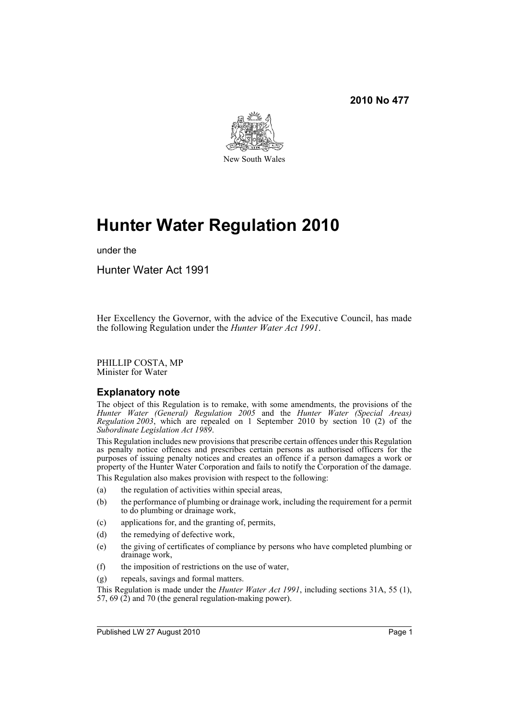

# **Hunter Water Regulation 2010**

under the

Hunter Water Act 1991

Her Excellency the Governor, with the advice of the Executive Council, has made the following Regulation under the *Hunter Water Act 1991*.

PHILLIP COSTA, MP Minister for Water

### **Explanatory note**

The object of this Regulation is to remake, with some amendments, the provisions of the *Hunter Water (General) Regulation 2005* and the *Hunter Water (Special Areas) Regulation 2003*, which are repealed on 1 September 2010 by section 10 (2) of the *Subordinate Legislation Act 1989*.

This Regulation includes new provisions that prescribe certain offences under this Regulation as penalty notice offences and prescribes certain persons as authorised officers for the purposes of issuing penalty notices and creates an offence if a person damages a work or property of the Hunter Water Corporation and fails to notify the Corporation of the damage.

- This Regulation also makes provision with respect to the following:
- (a) the regulation of activities within special areas,
- (b) the performance of plumbing or drainage work, including the requirement for a permit to do plumbing or drainage work,
- (c) applications for, and the granting of, permits,
- (d) the remedying of defective work,
- (e) the giving of certificates of compliance by persons who have completed plumbing or drainage work,
- (f) the imposition of restrictions on the use of water,
- (g) repeals, savings and formal matters.

This Regulation is made under the *Hunter Water Act 1991*, including sections 31A, 55 (1), 57, 69  $(2)$  and 70 (the general regulation-making power).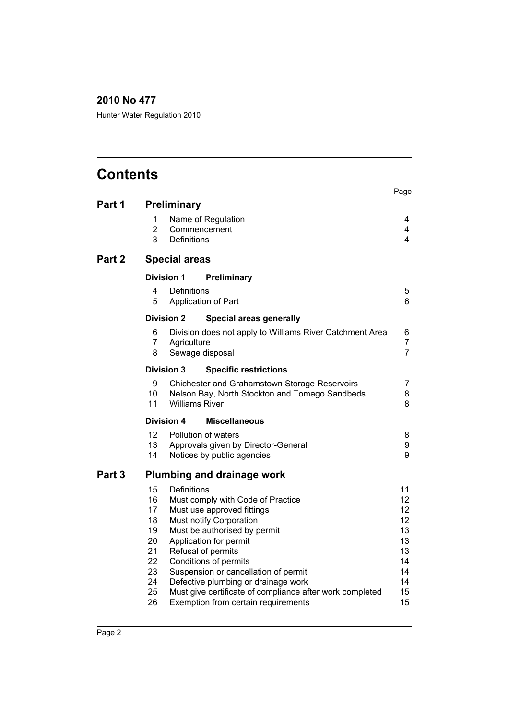Hunter Water Regulation 2010

| <b>Contents</b> |                                                                      |                                                                                                                                                                                                                                                                                                                                                                                                      | Page                                                                 |
|-----------------|----------------------------------------------------------------------|------------------------------------------------------------------------------------------------------------------------------------------------------------------------------------------------------------------------------------------------------------------------------------------------------------------------------------------------------------------------------------------------------|----------------------------------------------------------------------|
| Part 1          |                                                                      | <b>Preliminary</b>                                                                                                                                                                                                                                                                                                                                                                                   |                                                                      |
|                 | 1<br>$\overline{2}$<br>3                                             | Name of Regulation<br>Commencement<br>Definitions                                                                                                                                                                                                                                                                                                                                                    | 4<br>4<br>4                                                          |
| Part 2          |                                                                      | <b>Special areas</b>                                                                                                                                                                                                                                                                                                                                                                                 |                                                                      |
|                 |                                                                      | <b>Division 1</b><br>Preliminary                                                                                                                                                                                                                                                                                                                                                                     |                                                                      |
|                 | 4<br>5                                                               | Definitions<br>Application of Part                                                                                                                                                                                                                                                                                                                                                                   | 5<br>6                                                               |
|                 |                                                                      | <b>Division 2</b><br><b>Special areas generally</b>                                                                                                                                                                                                                                                                                                                                                  |                                                                      |
|                 | 6<br>7<br>8                                                          | Division does not apply to Williams River Catchment Area<br>Agriculture<br>Sewage disposal                                                                                                                                                                                                                                                                                                           | 6<br>$\overline{7}$<br>$\overline{7}$                                |
|                 |                                                                      | <b>Division 3</b><br><b>Specific restrictions</b>                                                                                                                                                                                                                                                                                                                                                    |                                                                      |
|                 | 9<br>10<br>11                                                        | Chichester and Grahamstown Storage Reservoirs<br>Nelson Bay, North Stockton and Tomago Sandbeds<br><b>Williams River</b>                                                                                                                                                                                                                                                                             | 7<br>8<br>8                                                          |
|                 |                                                                      | <b>Division 4</b><br><b>Miscellaneous</b>                                                                                                                                                                                                                                                                                                                                                            |                                                                      |
|                 | 12<br>13<br>14                                                       | Pollution of waters<br>Approvals given by Director-General<br>Notices by public agencies                                                                                                                                                                                                                                                                                                             | 8<br>9<br>9                                                          |
| Part 3          |                                                                      | <b>Plumbing and drainage work</b>                                                                                                                                                                                                                                                                                                                                                                    |                                                                      |
|                 | 15<br>16<br>17<br>18<br>19<br>20<br>21<br>22<br>23<br>24<br>25<br>26 | Definitions<br>Must comply with Code of Practice<br>Must use approved fittings<br>Must notify Corporation<br>Must be authorised by permit<br>Application for permit<br>Refusal of permits<br>Conditions of permits<br>Suspension or cancellation of permit<br>Defective plumbing or drainage work<br>Must give certificate of compliance after work completed<br>Exemption from certain requirements | 11<br>12<br>12<br>12<br>13<br>13<br>13<br>14<br>14<br>14<br>15<br>15 |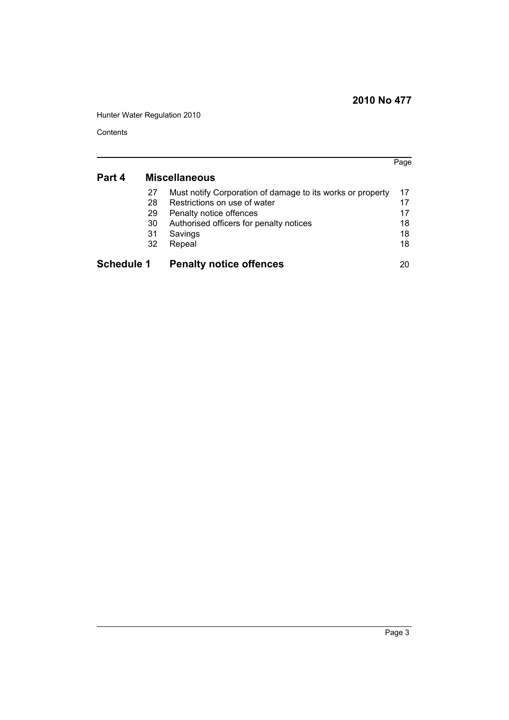Hunter Water Regulation 2010

**Contents** 

|                   |    |                                                            | Page |
|-------------------|----|------------------------------------------------------------|------|
| Part 4            |    | <b>Miscellaneous</b>                                       |      |
|                   | 27 | Must notify Corporation of damage to its works or property | 17   |
|                   | 28 | Restrictions on use of water                               | 17   |
|                   | 29 | Penalty notice offences                                    | 17   |
|                   | 30 | Authorised officers for penalty notices                    | 18   |
|                   | 31 | Savings                                                    | 18   |
|                   | 32 | Repeal                                                     | 18   |
| <b>Schedule 1</b> |    | <b>Penalty notice offences</b>                             | 20   |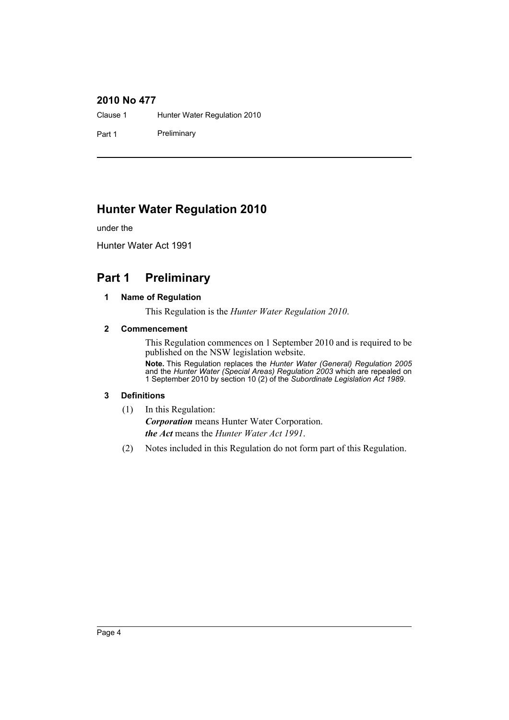Clause 1 Hunter Water Regulation 2010

Part 1 Preliminary

### **Hunter Water Regulation 2010**

under the

Hunter Water Act 1991

### <span id="page-3-1"></span><span id="page-3-0"></span>**Part 1 Preliminary**

### **1 Name of Regulation**

This Regulation is the *Hunter Water Regulation 2010*.

### <span id="page-3-2"></span>**2 Commencement**

This Regulation commences on 1 September 2010 and is required to be published on the NSW legislation website.

**Note.** This Regulation replaces the *Hunter Water (General) Regulation 2005* and the *Hunter Water (Special Areas) Regulation 2003* which are repealed on 1 September 2010 by section 10 (2) of the *Subordinate Legislation Act 1989*.

### <span id="page-3-3"></span>**3 Definitions**

(1) In this Regulation:

*Corporation* means Hunter Water Corporation. *the Act* means the *Hunter Water Act 1991*.

(2) Notes included in this Regulation do not form part of this Regulation.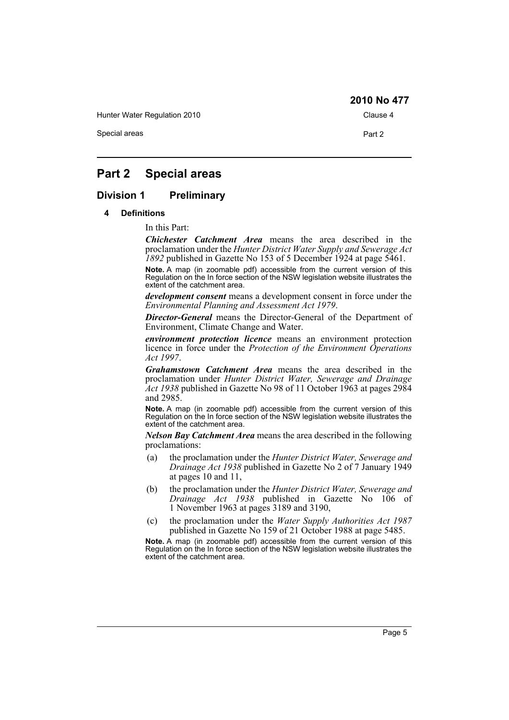Hunter Water Regulation 2010 Clause 4

Special areas **Part 2** 

### <span id="page-4-0"></span>**Part 2 Special areas**

### <span id="page-4-2"></span><span id="page-4-1"></span>**Division 1 Preliminary**

#### **4 Definitions**

In this Part:

*Chichester Catchment Area* means the area described in the proclamation under the *Hunter District Water Supply and Sewerage Act 1892* published in Gazette No 153 of 5 December 1924 at page 5461.

**Note.** A map (in zoomable pdf) accessible from the current version of this Regulation on the In force section of the NSW legislation website illustrates the extent of the catchment area.

*development consent* means a development consent in force under the *Environmental Planning and Assessment Act 1979*.

*Director-General* means the Director-General of the Department of Environment, Climate Change and Water.

*environment protection licence* means an environment protection licence in force under the *Protection of the Environment Operations Act 1997*.

*Grahamstown Catchment Area* means the area described in the proclamation under *Hunter District Water, Sewerage and Drainage Act 1938* published in Gazette No 98 of 11 October 1963 at pages 2984 and 2985.

**Note.** A map (in zoomable pdf) accessible from the current version of this Regulation on the In force section of the NSW legislation website illustrates the extent of the catchment area.

*Nelson Bay Catchment Area* means the area described in the following proclamations:

- (a) the proclamation under the *Hunter District Water, Sewerage and Drainage Act 1938* published in Gazette No 2 of 7 January 1949 at pages 10 and 11,
- (b) the proclamation under the *Hunter District Water, Sewerage and Drainage Act 1938* published in Gazette No 106 of 1 November 1963 at pages 3189 and 3190,
- (c) the proclamation under the *Water Supply Authorities Act 1987* published in Gazette No 159 of 21 October 1988 at page 5485.

**Note.** A map (in zoomable pdf) accessible from the current version of this Regulation on the In force section of the NSW legislation website illustrates the extent of the catchment area.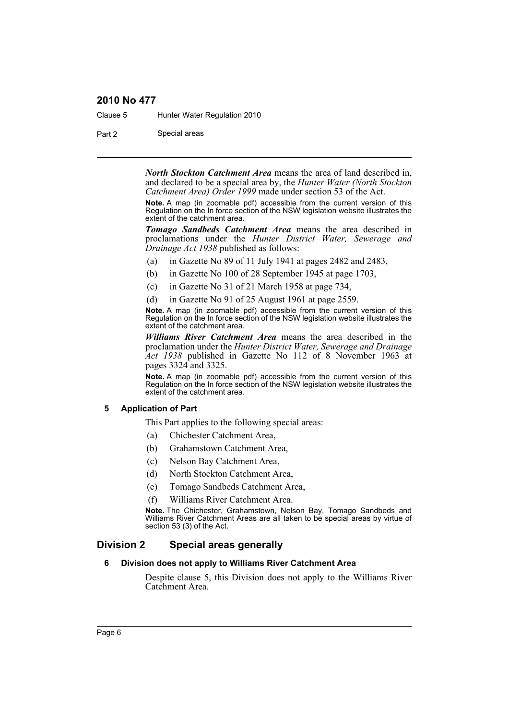Clause 5 Hunter Water Regulation 2010

Part 2 Special areas

*North Stockton Catchment Area* means the area of land described in, and declared to be a special area by, the *Hunter Water (North Stockton Catchment Area) Order 1999* made under section 53 of the Act.

**Note.** A map (in zoomable pdf) accessible from the current version of this Regulation on the In force section of the NSW legislation website illustrates the extent of the catchment area.

*Tomago Sandbeds Catchment Area* means the area described in proclamations under the *Hunter District Water, Sewerage and Drainage Act 1938* published as follows:

- (a) in Gazette No 89 of 11 July 1941 at pages 2482 and 2483,
- (b) in Gazette No 100 of 28 September 1945 at page 1703,
- (c) in Gazette No 31 of 21 March 1958 at page 734,
- (d) in Gazette No 91 of 25 August 1961 at page 2559.

**Note.** A map (in zoomable pdf) accessible from the current version of this Regulation on the In force section of the NSW legislation website illustrates the extent of the catchment area.

*Williams River Catchment Area* means the area described in the proclamation under the *Hunter District Water, Sewerage and Drainage Act 1938* published in Gazette No 112 of 8 November 1963 at pages 3324 and 3325.

**Note.** A map (in zoomable pdf) accessible from the current version of this Regulation on the In force section of the NSW legislation website illustrates the extent of the catchment area.

#### <span id="page-5-0"></span>**5 Application of Part**

This Part applies to the following special areas:

- (a) Chichester Catchment Area,
- (b) Grahamstown Catchment Area,
- (c) Nelson Bay Catchment Area,
- (d) North Stockton Catchment Area,
- (e) Tomago Sandbeds Catchment Area,
- (f) Williams River Catchment Area.

**Note.** The Chichester, Grahamstown, Nelson Bay, Tomago Sandbeds and Williams River Catchment Areas are all taken to be special areas by virtue of section 53 (3) of the Act.

### <span id="page-5-2"></span><span id="page-5-1"></span>**Division 2 Special areas generally**

#### **6 Division does not apply to Williams River Catchment Area**

Despite clause 5, this Division does not apply to the Williams River Catchment Area.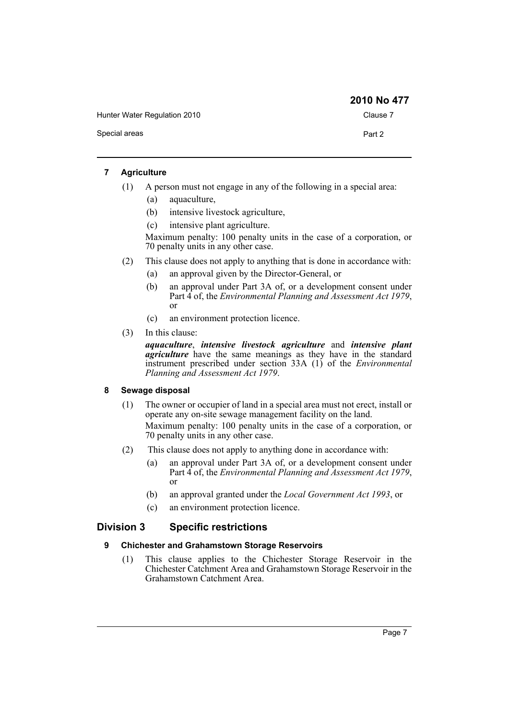Hunter Water Regulation 2010 Clause 7 Special areas **Part 2 2010 No 477**

### <span id="page-6-0"></span>**7 Agriculture**

- (1) A person must not engage in any of the following in a special area:
	- (a) aquaculture,
	- (b) intensive livestock agriculture,
	- (c) intensive plant agriculture.

Maximum penalty: 100 penalty units in the case of a corporation, or 70 penalty units in any other case.

- (2) This clause does not apply to anything that is done in accordance with:
	- (a) an approval given by the Director-General, or
	- (b) an approval under Part 3A of, or a development consent under Part 4 of, the *Environmental Planning and Assessment Act 1979*, or
	- (c) an environment protection licence.
- (3) In this clause:

*aquaculture*, *intensive livestock agriculture* and *intensive plant agriculture* have the same meanings as they have in the standard instrument prescribed under section 33A (1) of the *Environmental Planning and Assessment Act 1979*.

#### <span id="page-6-1"></span>**8 Sewage disposal**

- (1) The owner or occupier of land in a special area must not erect, install or operate any on-site sewage management facility on the land. Maximum penalty: 100 penalty units in the case of a corporation, or 70 penalty units in any other case.
- (2) This clause does not apply to anything done in accordance with:
	- (a) an approval under Part 3A of, or a development consent under Part 4 of, the *Environmental Planning and Assessment Act 1979*, or
	- (b) an approval granted under the *Local Government Act 1993*, or
	- (c) an environment protection licence.

### <span id="page-6-3"></span><span id="page-6-2"></span>**Division 3 Specific restrictions**

### **9 Chichester and Grahamstown Storage Reservoirs**

(1) This clause applies to the Chichester Storage Reservoir in the Chichester Catchment Area and Grahamstown Storage Reservoir in the Grahamstown Catchment Area.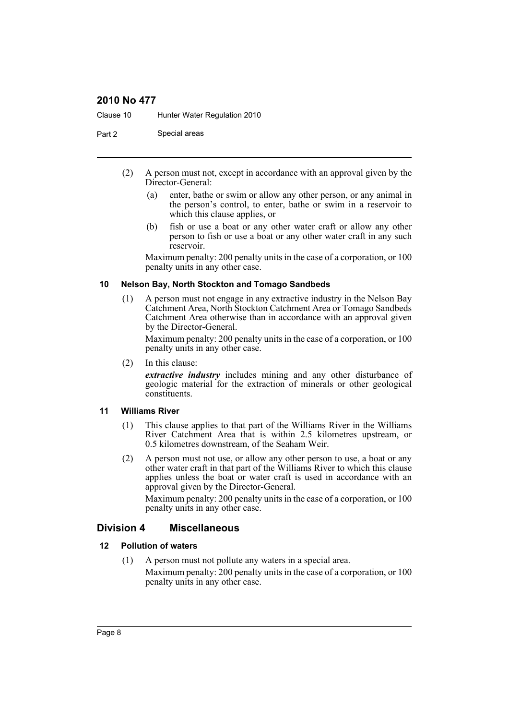Clause 10 Hunter Water Regulation 2010

Part 2 Special areas

- (2) A person must not, except in accordance with an approval given by the Director-General:
	- (a) enter, bathe or swim or allow any other person, or any animal in the person's control, to enter, bathe or swim in a reservoir to which this clause applies, or
	- (b) fish or use a boat or any other water craft or allow any other person to fish or use a boat or any other water craft in any such reservoir.

Maximum penalty: 200 penalty units in the case of a corporation, or 100 penalty units in any other case.

#### <span id="page-7-0"></span>**10 Nelson Bay, North Stockton and Tomago Sandbeds**

(1) A person must not engage in any extractive industry in the Nelson Bay Catchment Area, North Stockton Catchment Area or Tomago Sandbeds Catchment Area otherwise than in accordance with an approval given by the Director-General.

Maximum penalty: 200 penalty units in the case of a corporation, or 100 penalty units in any other case.

(2) In this clause:

*extractive industry* includes mining and any other disturbance of geologic material for the extraction of minerals or other geological constituents.

#### <span id="page-7-1"></span>**11 Williams River**

- (1) This clause applies to that part of the Williams River in the Williams River Catchment Area that is within 2.5 kilometres upstream, or 0.5 kilometres downstream, of the Seaham Weir.
- (2) A person must not use, or allow any other person to use, a boat or any other water craft in that part of the Williams River to which this clause applies unless the boat or water craft is used in accordance with an approval given by the Director-General.

Maximum penalty: 200 penalty units in the case of a corporation, or 100 penalty units in any other case.

### <span id="page-7-2"></span>**Division 4 Miscellaneous**

### <span id="page-7-3"></span>**12 Pollution of waters**

(1) A person must not pollute any waters in a special area. Maximum penalty: 200 penalty units in the case of a corporation, or 100 penalty units in any other case.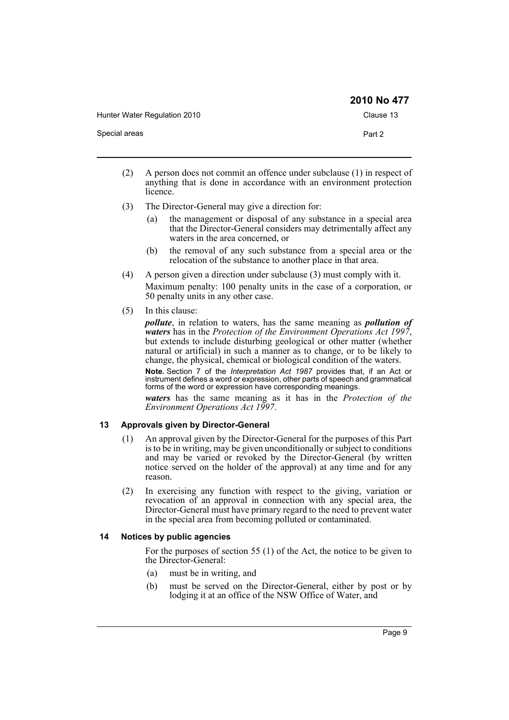|                              | 2010 No 477 |
|------------------------------|-------------|
| Hunter Water Regulation 2010 | Clause 13   |
| Special areas                | Part 2      |

- (2) A person does not commit an offence under subclause (1) in respect of anything that is done in accordance with an environment protection licence.
- (3) The Director-General may give a direction for:
	- (a) the management or disposal of any substance in a special area that the Director-General considers may detrimentally affect any waters in the area concerned, or
	- (b) the removal of any such substance from a special area or the relocation of the substance to another place in that area.
- (4) A person given a direction under subclause (3) must comply with it. Maximum penalty: 100 penalty units in the case of a corporation, or 50 penalty units in any other case.
- (5) In this clause:

*pollute*, in relation to waters, has the same meaning as *pollution of waters* has in the *Protection of the Environment Operations Act 1997*, but extends to include disturbing geological or other matter (whether natural or artificial) in such a manner as to change, or to be likely to change, the physical, chemical or biological condition of the waters.

**Note.** Section 7 of the *Interpretation Act 1987* provides that, if an Act or instrument defines a word or expression, other parts of speech and grammatical forms of the word or expression have corresponding meanings.

*waters* has the same meaning as it has in the *Protection of the Environment Operations Act 1997*.

### <span id="page-8-0"></span>**13 Approvals given by Director-General**

- (1) An approval given by the Director-General for the purposes of this Part is to be in writing, may be given unconditionally or subject to conditions and may be varied or revoked by the Director-General (by written notice served on the holder of the approval) at any time and for any reason.
- (2) In exercising any function with respect to the giving, variation or revocation of an approval in connection with any special area, the Director-General must have primary regard to the need to prevent water in the special area from becoming polluted or contaminated.

### <span id="page-8-1"></span>**14 Notices by public agencies**

For the purposes of section 55 (1) of the Act, the notice to be given to the Director-General:

- (a) must be in writing, and
- (b) must be served on the Director-General, either by post or by lodging it at an office of the NSW Office of Water, and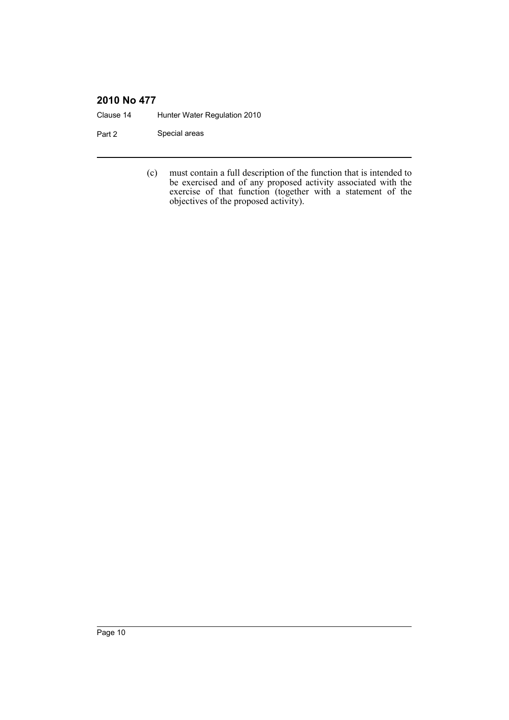Clause 14 Hunter Water Regulation 2010

Part 2 Special areas

(c) must contain a full description of the function that is intended to be exercised and of any proposed activity associated with the exercise of that function (together with a statement of the objectives of the proposed activity).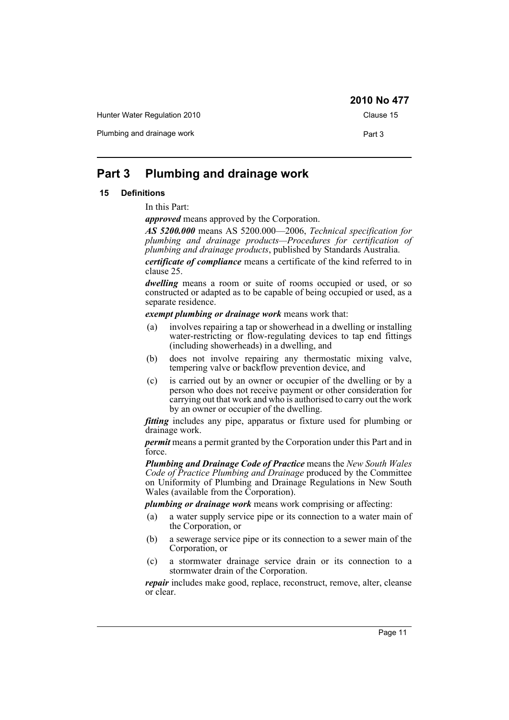|                              | $\sim$ 10 110 $\sim$ 111 |
|------------------------------|--------------------------|
| Hunter Water Regulation 2010 | Clause 15                |
| Plumbing and drainage work   | Part 3                   |

### <span id="page-10-0"></span>**Part 3 Plumbing and drainage work**

### <span id="page-10-1"></span>**15 Definitions**

In this Part:

*approved* means approved by the Corporation.

*AS 5200.000* means AS 5200.000—2006, *Technical specification for plumbing and drainage products—Procedures for certification of plumbing and drainage products*, published by Standards Australia.

*certificate of compliance* means a certificate of the kind referred to in clause 25.

*dwelling* means a room or suite of rooms occupied or used, or so constructed or adapted as to be capable of being occupied or used, as a separate residence.

*exempt plumbing or drainage work* means work that:

- (a) involves repairing a tap or showerhead in a dwelling or installing water-restricting or flow-regulating devices to tap end fittings (including showerheads) in a dwelling, and
- (b) does not involve repairing any thermostatic mixing valve, tempering valve or backflow prevention device, and
- (c) is carried out by an owner or occupier of the dwelling or by a person who does not receive payment or other consideration for carrying out that work and who is authorised to carry out the work by an owner or occupier of the dwelling.

*fitting* includes any pipe, apparatus or fixture used for plumbing or drainage work.

*permit* means a permit granted by the Corporation under this Part and in force.

*Plumbing and Drainage Code of Practice* means the *New South Wales Code of Practice Plumbing and Drainage* produced by the Committee on Uniformity of Plumbing and Drainage Regulations in New South Wales (available from the Corporation).

*plumbing or drainage work* means work comprising or affecting:

- (a) a water supply service pipe or its connection to a water main of the Corporation, or
- (b) a sewerage service pipe or its connection to a sewer main of the Corporation, or
- (c) a stormwater drainage service drain or its connection to a stormwater drain of the Corporation.

*repair* includes make good, replace, reconstruct, remove, alter, cleanse or clear.

**2010 No 477**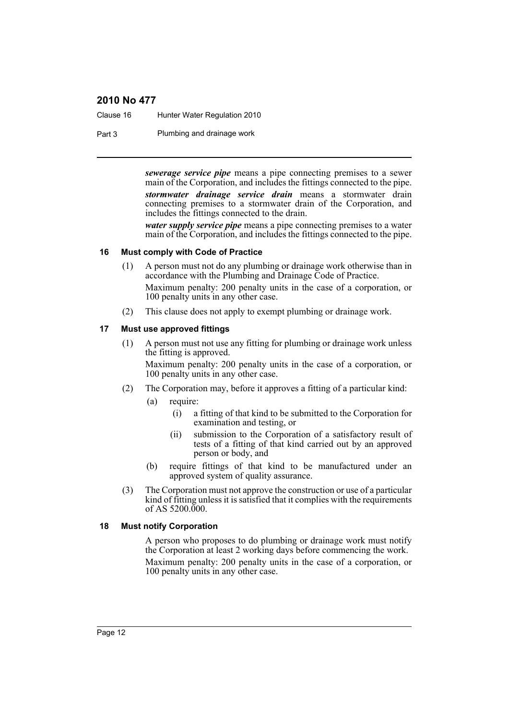Clause 16 Hunter Water Regulation 2010

Part 3 Plumbing and drainage work

*sewerage service pipe* means a pipe connecting premises to a sewer main of the Corporation, and includes the fittings connected to the pipe.

*stormwater drainage service drain* means a stormwater drain connecting premises to a stormwater drain of the Corporation, and includes the fittings connected to the drain.

*water supply service pipe* means a pipe connecting premises to a water main of the Corporation, and includes the fittings connected to the pipe.

### <span id="page-11-0"></span>**16 Must comply with Code of Practice**

- (1) A person must not do any plumbing or drainage work otherwise than in accordance with the Plumbing and Drainage Code of Practice. Maximum penalty: 200 penalty units in the case of a corporation, or 100 penalty units in any other case.
- (2) This clause does not apply to exempt plumbing or drainage work.

### <span id="page-11-1"></span>**17 Must use approved fittings**

(1) A person must not use any fitting for plumbing or drainage work unless the fitting is approved.

Maximum penalty: 200 penalty units in the case of a corporation, or 100 penalty units in any other case.

- (2) The Corporation may, before it approves a fitting of a particular kind:
	- (a) require:
		- (i) a fitting of that kind to be submitted to the Corporation for examination and testing, or
		- (ii) submission to the Corporation of a satisfactory result of tests of a fitting of that kind carried out by an approved person or body, and
	- (b) require fittings of that kind to be manufactured under an approved system of quality assurance.
- (3) The Corporation must not approve the construction or use of a particular kind of fitting unless it is satisfied that it complies with the requirements of AS 5200.000.

#### <span id="page-11-2"></span>**18 Must notify Corporation**

A person who proposes to do plumbing or drainage work must notify the Corporation at least 2 working days before commencing the work. Maximum penalty: 200 penalty units in the case of a corporation, or 100 penalty units in any other case.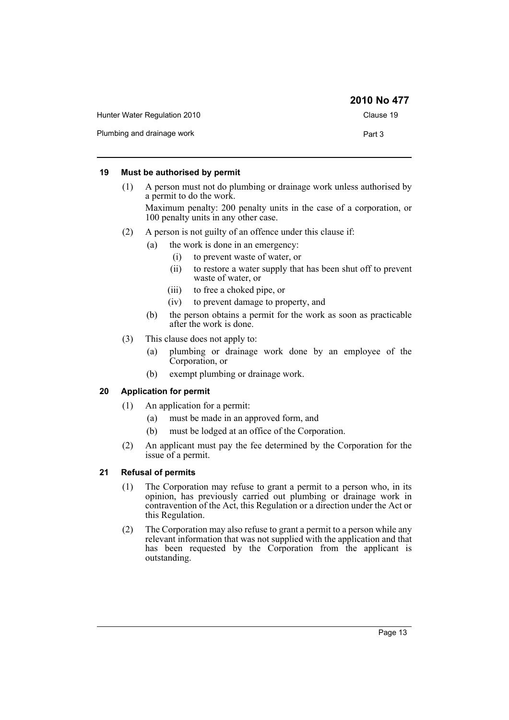|                              | 2010 No 477 |
|------------------------------|-------------|
| Hunter Water Regulation 2010 | Clause 19   |
| Plumbing and drainage work   | Part 3      |

### <span id="page-12-0"></span>**19 Must be authorised by permit**

(1) A person must not do plumbing or drainage work unless authorised by a permit to do the work.

Maximum penalty: 200 penalty units in the case of a corporation, or 100 penalty units in any other case.

- (2) A person is not guilty of an offence under this clause if:
	- (a) the work is done in an emergency:
		- (i) to prevent waste of water, or
		- (ii) to restore a water supply that has been shut off to prevent waste of water, or
		- (iii) to free a choked pipe, or
		- (iv) to prevent damage to property, and
	- (b) the person obtains a permit for the work as soon as practicable after the work is done.
- (3) This clause does not apply to:
	- (a) plumbing or drainage work done by an employee of the Corporation, or
	- (b) exempt plumbing or drainage work.

### <span id="page-12-1"></span>**20 Application for permit**

- (1) An application for a permit:
	- (a) must be made in an approved form, and
	- (b) must be lodged at an office of the Corporation.
- (2) An applicant must pay the fee determined by the Corporation for the issue of a permit.

#### <span id="page-12-2"></span>**21 Refusal of permits**

- (1) The Corporation may refuse to grant a permit to a person who, in its opinion, has previously carried out plumbing or drainage work in contravention of the Act, this Regulation or a direction under the Act or this Regulation.
- (2) The Corporation may also refuse to grant a permit to a person while any relevant information that was not supplied with the application and that has been requested by the Corporation from the applicant is outstanding.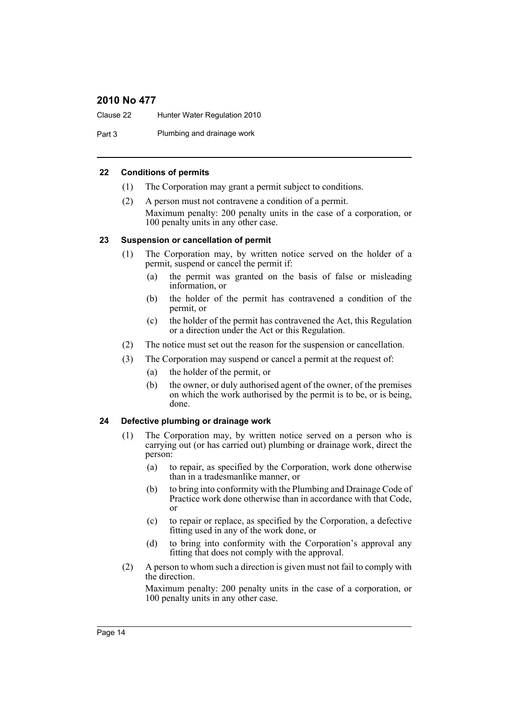Clause 22 Hunter Water Regulation 2010

Part 3 Plumbing and drainage work

### <span id="page-13-0"></span>**22 Conditions of permits**

- (1) The Corporation may grant a permit subject to conditions.
- (2) A person must not contravene a condition of a permit. Maximum penalty: 200 penalty units in the case of a corporation, or 100 penalty units in any other case.

### <span id="page-13-1"></span>**23 Suspension or cancellation of permit**

- (1) The Corporation may, by written notice served on the holder of a permit, suspend or cancel the permit if:
	- (a) the permit was granted on the basis of false or misleading information, or
	- (b) the holder of the permit has contravened a condition of the permit, or
	- (c) the holder of the permit has contravened the Act, this Regulation or a direction under the Act or this Regulation.
- (2) The notice must set out the reason for the suspension or cancellation.
- (3) The Corporation may suspend or cancel a permit at the request of:
	- (a) the holder of the permit, or
	- (b) the owner, or duly authorised agent of the owner, of the premises on which the work authorised by the permit is to be, or is being, done.

### <span id="page-13-2"></span>**24 Defective plumbing or drainage work**

- (1) The Corporation may, by written notice served on a person who is carrying out (or has carried out) plumbing or drainage work, direct the person:
	- (a) to repair, as specified by the Corporation, work done otherwise than in a tradesmanlike manner, or
	- (b) to bring into conformity with the Plumbing and Drainage Code of Practice work done otherwise than in accordance with that Code, or
	- (c) to repair or replace, as specified by the Corporation, a defective fitting used in any of the work done, or
	- (d) to bring into conformity with the Corporation's approval any fitting that does not comply with the approval.
- (2) A person to whom such a direction is given must not fail to comply with the direction.

Maximum penalty: 200 penalty units in the case of a corporation, or 100 penalty units in any other case.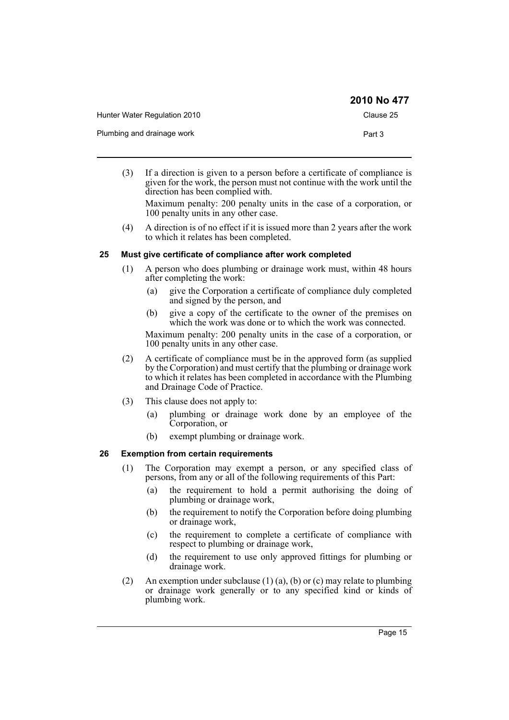|                              | 2010 No 477 |
|------------------------------|-------------|
| Hunter Water Regulation 2010 | Clause 25   |
| Plumbing and drainage work   | Part 3      |

(3) If a direction is given to a person before a certificate of compliance is given for the work, the person must not continue with the work until the direction has been complied with.

Maximum penalty: 200 penalty units in the case of a corporation, or 100 penalty units in any other case.

(4) A direction is of no effect if it is issued more than 2 years after the work to which it relates has been completed.

### <span id="page-14-0"></span>**25 Must give certificate of compliance after work completed**

- (1) A person who does plumbing or drainage work must, within 48 hours after completing the work:
	- (a) give the Corporation a certificate of compliance duly completed and signed by the person, and
	- (b) give a copy of the certificate to the owner of the premises on which the work was done or to which the work was connected.

Maximum penalty: 200 penalty units in the case of a corporation, or 100 penalty units in any other case.

- (2) A certificate of compliance must be in the approved form (as supplied by the Corporation) and must certify that the plumbing or drainage work to which it relates has been completed in accordance with the Plumbing and Drainage Code of Practice.
- (3) This clause does not apply to:
	- (a) plumbing or drainage work done by an employee of the Corporation, or
	- (b) exempt plumbing or drainage work.

### <span id="page-14-1"></span>**26 Exemption from certain requirements**

- (1) The Corporation may exempt a person, or any specified class of persons, from any or all of the following requirements of this Part:
	- (a) the requirement to hold a permit authorising the doing of plumbing or drainage work,
	- (b) the requirement to notify the Corporation before doing plumbing or drainage work,
	- (c) the requirement to complete a certificate of compliance with respect to plumbing or drainage work,
	- (d) the requirement to use only approved fittings for plumbing or drainage work.
- (2) An exemption under subclause  $(1)$  (a), (b) or (c) may relate to plumbing or drainage work generally or to any specified kind or kinds of plumbing work.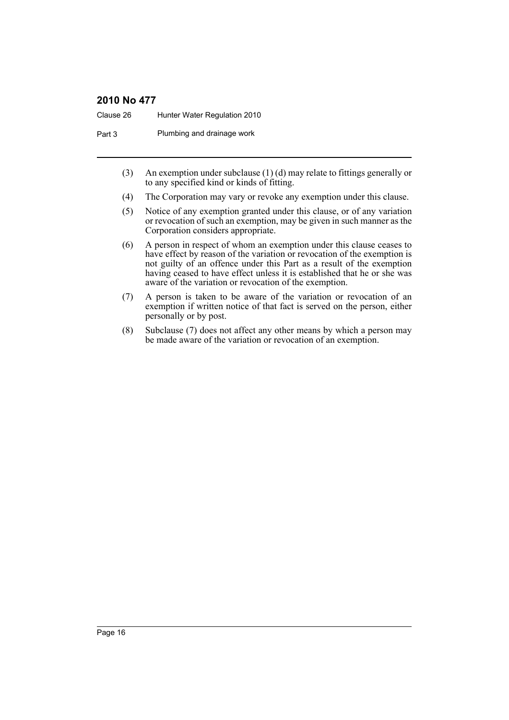Clause 26 Hunter Water Regulation 2010

Part 3 Plumbing and drainage work

- (3) An exemption under subclause (1) (d) may relate to fittings generally or to any specified kind or kinds of fitting.
- (4) The Corporation may vary or revoke any exemption under this clause.
- (5) Notice of any exemption granted under this clause, or of any variation or revocation of such an exemption, may be given in such manner as the Corporation considers appropriate.
- (6) A person in respect of whom an exemption under this clause ceases to have effect by reason of the variation or revocation of the exemption is not guilty of an offence under this Part as a result of the exemption having ceased to have effect unless it is established that he or she was aware of the variation or revocation of the exemption.
- (7) A person is taken to be aware of the variation or revocation of an exemption if written notice of that fact is served on the person, either personally or by post.
- (8) Subclause (7) does not affect any other means by which a person may be made aware of the variation or revocation of an exemption.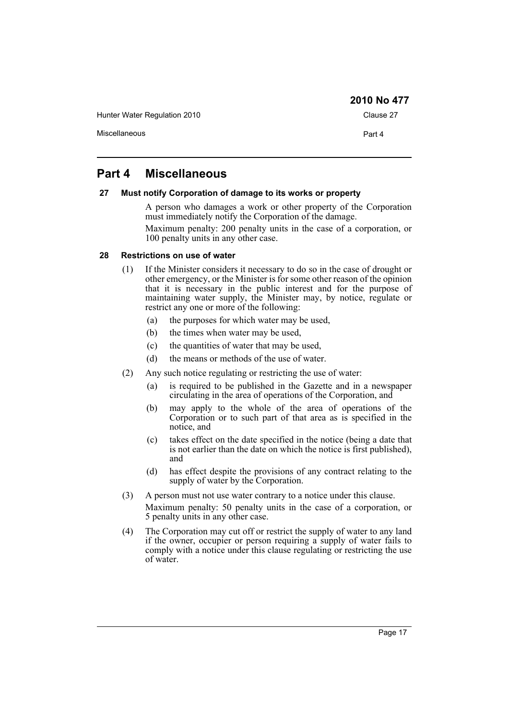Hunter Water Regulation 2010 Clause 27

Miscellaneous **Part 4** 

**2010 No 477**

### <span id="page-16-0"></span>**Part 4 Miscellaneous**

### <span id="page-16-1"></span>**27 Must notify Corporation of damage to its works or property**

A person who damages a work or other property of the Corporation must immediately notify the Corporation of the damage.

Maximum penalty: 200 penalty units in the case of a corporation, or 100 penalty units in any other case.

### <span id="page-16-2"></span>**28 Restrictions on use of water**

- (1) If the Minister considers it necessary to do so in the case of drought or other emergency, or the Minister is for some other reason of the opinion that it is necessary in the public interest and for the purpose of maintaining water supply, the Minister may, by notice, regulate or restrict any one or more of the following:
	- (a) the purposes for which water may be used,
	- (b) the times when water may be used,
	- (c) the quantities of water that may be used,
	- (d) the means or methods of the use of water.
- (2) Any such notice regulating or restricting the use of water:
	- (a) is required to be published in the Gazette and in a newspaper circulating in the area of operations of the Corporation, and
	- (b) may apply to the whole of the area of operations of the Corporation or to such part of that area as is specified in the notice, and
	- (c) takes effect on the date specified in the notice (being a date that is not earlier than the date on which the notice is first published), and
	- (d) has effect despite the provisions of any contract relating to the supply of water by the Corporation.
- (3) A person must not use water contrary to a notice under this clause. Maximum penalty: 50 penalty units in the case of a corporation, or 5 penalty units in any other case.
- (4) The Corporation may cut off or restrict the supply of water to any land if the owner, occupier or person requiring a supply of water fails to comply with a notice under this clause regulating or restricting the use of water.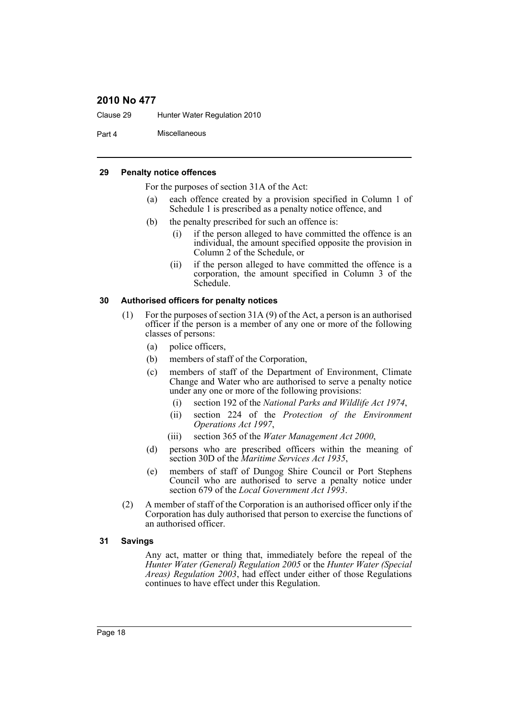Clause 29 Hunter Water Regulation 2010

Part 4 Miscellaneous

### <span id="page-17-0"></span>**29 Penalty notice offences**

For the purposes of section 31A of the Act:

- (a) each offence created by a provision specified in Column 1 of Schedule 1 is prescribed as a penalty notice offence, and
- (b) the penalty prescribed for such an offence is:
	- (i) if the person alleged to have committed the offence is an individual, the amount specified opposite the provision in Column 2 of the Schedule, or
	- (ii) if the person alleged to have committed the offence is a corporation, the amount specified in Column 3 of the Schedule.

#### <span id="page-17-1"></span>**30 Authorised officers for penalty notices**

- (1) For the purposes of section 31A (9) of the Act, a person is an authorised officer if the person is a member of any one or more of the following classes of persons:
	- (a) police officers,
	- (b) members of staff of the Corporation,
	- (c) members of staff of the Department of Environment, Climate Change and Water who are authorised to serve a penalty notice under any one or more of the following provisions:
		- (i) section 192 of the *National Parks and Wildlife Act 1974*,
		- (ii) section 224 of the *Protection of the Environment Operations Act 1997*,
		- (iii) section 365 of the *Water Management Act 2000*,
	- (d) persons who are prescribed officers within the meaning of section 30D of the *Maritime Services Act 1935*,
	- (e) members of staff of Dungog Shire Council or Port Stephens Council who are authorised to serve a penalty notice under section 679 of the *Local Government Act 1993*.
- (2) A member of staff of the Corporation is an authorised officer only if the Corporation has duly authorised that person to exercise the functions of an authorised officer.

#### <span id="page-17-2"></span>**31 Savings**

Any act, matter or thing that, immediately before the repeal of the *Hunter Water (General) Regulation 2005* or the *Hunter Water (Special Areas) Regulation 2003*, had effect under either of those Regulations continues to have effect under this Regulation.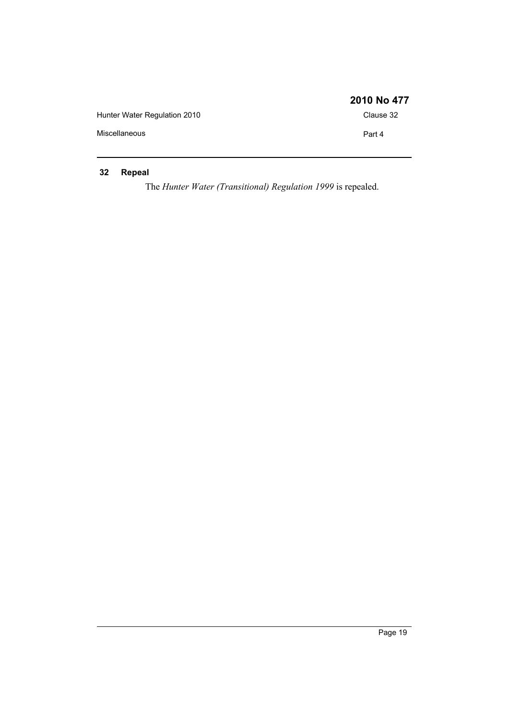|                              | 2010 No 477 |
|------------------------------|-------------|
| Hunter Water Regulation 2010 | Clause 32   |
| Miscellaneous                | Part 4      |

### <span id="page-18-0"></span>**32 Repeal**

The *Hunter Water (Transitional) Regulation 1999* is repealed.